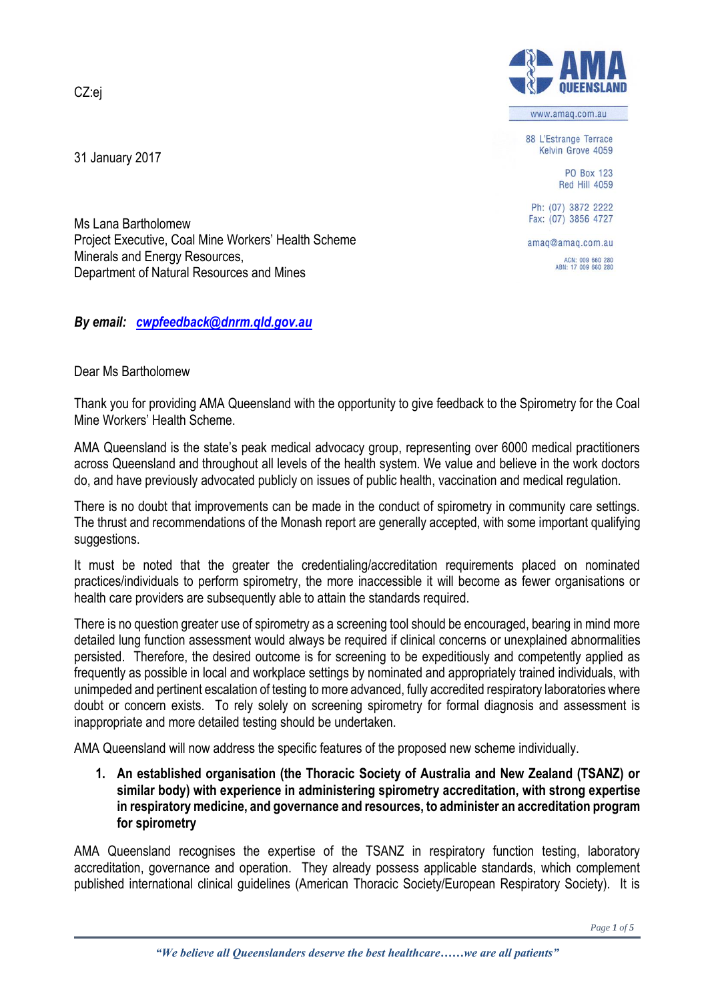CZ:ej

31 January 2017



www.amag.com.au

88 L'Estrange Terrace Kelvin Grove 4059

> PO Box 123 Red Hill 4059

Ph: (07) 3872 2222 Fax: (07) 3856 4727

amaq@amaq.com.au ACN: 009 660 280<br>ABN: 17 009 660 280

Ms Lana Bartholomew Project Executive, Coal Mine Workers' Health Scheme Minerals and Energy Resources, Department of Natural Resources and Mines

*By email: [cwpfeedback@dnrm.qld.gov.au](mailto:cwpfeedback@dnrm.qld.gov.au)*

## Dear Ms Bartholomew

Thank you for providing AMA Queensland with the opportunity to give feedback to the Spirometry for the Coal Mine Workers' Health Scheme.

AMA Queensland is the state's peak medical advocacy group, representing over 6000 medical practitioners across Queensland and throughout all levels of the health system. We value and believe in the work doctors do, and have previously advocated publicly on issues of public health, vaccination and medical regulation.

There is no doubt that improvements can be made in the conduct of spirometry in community care settings. The thrust and recommendations of the Monash report are generally accepted, with some important qualifying suggestions.

It must be noted that the greater the credentialing/accreditation requirements placed on nominated practices/individuals to perform spirometry, the more inaccessible it will become as fewer organisations or health care providers are subsequently able to attain the standards required.

There is no question greater use of spirometry as a screening tool should be encouraged, bearing in mind more detailed lung function assessment would always be required if clinical concerns or unexplained abnormalities persisted. Therefore, the desired outcome is for screening to be expeditiously and competently applied as frequently as possible in local and workplace settings by nominated and appropriately trained individuals, with unimpeded and pertinent escalation of testing to more advanced, fully accredited respiratory laboratories where doubt or concern exists. To rely solely on screening spirometry for formal diagnosis and assessment is inappropriate and more detailed testing should be undertaken.

AMA Queensland will now address the specific features of the proposed new scheme individually.

**1. An established organisation (the Thoracic Society of Australia and New Zealand (TSANZ) or similar body) with experience in administering spirometry accreditation, with strong expertise in respiratory medicine, and governance and resources, to administer an accreditation program for spirometry**

AMA Queensland recognises the expertise of the TSANZ in respiratory function testing, laboratory accreditation, governance and operation. They already possess applicable standards, which complement published international clinical guidelines (American Thoracic Society/European Respiratory Society). It is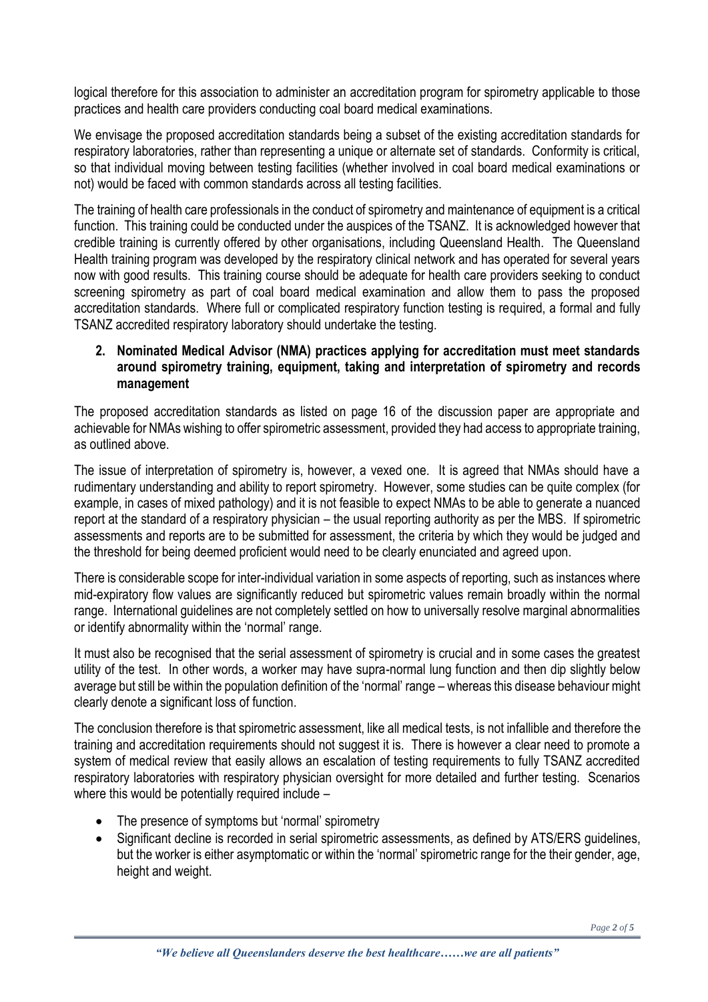logical therefore for this association to administer an accreditation program for spirometry applicable to those practices and health care providers conducting coal board medical examinations.

We envisage the proposed accreditation standards being a subset of the existing accreditation standards for respiratory laboratories, rather than representing a unique or alternate set of standards. Conformity is critical, so that individual moving between testing facilities (whether involved in coal board medical examinations or not) would be faced with common standards across all testing facilities.

The training of health care professionals in the conduct of spirometry and maintenance of equipment is a critical function. This training could be conducted under the auspices of the TSANZ. It is acknowledged however that credible training is currently offered by other organisations, including Queensland Health. The Queensland Health training program was developed by the respiratory clinical network and has operated for several years now with good results. This training course should be adequate for health care providers seeking to conduct screening spirometry as part of coal board medical examination and allow them to pass the proposed accreditation standards. Where full or complicated respiratory function testing is required, a formal and fully TSANZ accredited respiratory laboratory should undertake the testing.

#### **2. Nominated Medical Advisor (NMA) practices applying for accreditation must meet standards around spirometry training, equipment, taking and interpretation of spirometry and records management**

The proposed accreditation standards as listed on page 16 of the discussion paper are appropriate and achievable for NMAs wishing to offer spirometric assessment, provided they had access to appropriate training, as outlined above.

The issue of interpretation of spirometry is, however, a vexed one. It is agreed that NMAs should have a rudimentary understanding and ability to report spirometry. However, some studies can be quite complex (for example, in cases of mixed pathology) and it is not feasible to expect NMAs to be able to generate a nuanced report at the standard of a respiratory physician – the usual reporting authority as per the MBS. If spirometric assessments and reports are to be submitted for assessment, the criteria by which they would be judged and the threshold for being deemed proficient would need to be clearly enunciated and agreed upon.

There is considerable scope for inter-individual variation in some aspects of reporting, such as instances where mid-expiratory flow values are significantly reduced but spirometric values remain broadly within the normal range. International guidelines are not completely settled on how to universally resolve marginal abnormalities or identify abnormality within the 'normal' range.

It must also be recognised that the serial assessment of spirometry is crucial and in some cases the greatest utility of the test. In other words, a worker may have supra-normal lung function and then dip slightly below average but still be within the population definition of the 'normal' range – whereas this disease behaviour might clearly denote a significant loss of function.

The conclusion therefore is that spirometric assessment, like all medical tests, is not infallible and therefore the training and accreditation requirements should not suggest it is. There is however a clear need to promote a system of medical review that easily allows an escalation of testing requirements to fully TSANZ accredited respiratory laboratories with respiratory physician oversight for more detailed and further testing. Scenarios where this would be potentially required include –

- The presence of symptoms but 'normal' spirometry
- Significant decline is recorded in serial spirometric assessments, as defined by ATS/ERS guidelines, but the worker is either asymptomatic or within the 'normal' spirometric range for the their gender, age, height and weight.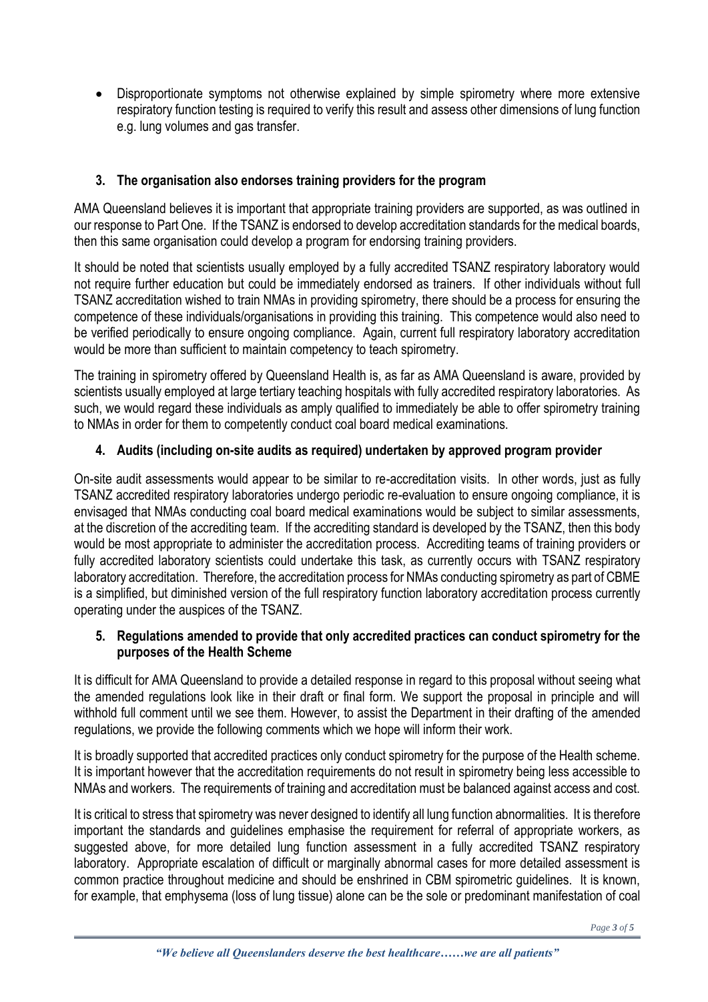Disproportionate symptoms not otherwise explained by simple spirometry where more extensive respiratory function testing is required to verify this result and assess other dimensions of lung function e.g. lung volumes and gas transfer.

# **3. The organisation also endorses training providers for the program**

AMA Queensland believes it is important that appropriate training providers are supported, as was outlined in our response to Part One. If the TSANZ is endorsed to develop accreditation standards for the medical boards, then this same organisation could develop a program for endorsing training providers.

It should be noted that scientists usually employed by a fully accredited TSANZ respiratory laboratory would not require further education but could be immediately endorsed as trainers. If other individuals without full TSANZ accreditation wished to train NMAs in providing spirometry, there should be a process for ensuring the competence of these individuals/organisations in providing this training. This competence would also need to be verified periodically to ensure ongoing compliance. Again, current full respiratory laboratory accreditation would be more than sufficient to maintain competency to teach spirometry.

The training in spirometry offered by Queensland Health is, as far as AMA Queensland is aware, provided by scientists usually employed at large tertiary teaching hospitals with fully accredited respiratory laboratories. As such, we would regard these individuals as amply qualified to immediately be able to offer spirometry training to NMAs in order for them to competently conduct coal board medical examinations.

## **4. Audits (including on-site audits as required) undertaken by approved program provider**

On-site audit assessments would appear to be similar to re-accreditation visits. In other words, just as fully TSANZ accredited respiratory laboratories undergo periodic re-evaluation to ensure ongoing compliance, it is envisaged that NMAs conducting coal board medical examinations would be subject to similar assessments, at the discretion of the accrediting team. If the accrediting standard is developed by the TSANZ, then this body would be most appropriate to administer the accreditation process. Accrediting teams of training providers or fully accredited laboratory scientists could undertake this task, as currently occurs with TSANZ respiratory laboratory accreditation. Therefore, the accreditation process for NMAs conducting spirometry as part of CBME is a simplified, but diminished version of the full respiratory function laboratory accreditation process currently operating under the auspices of the TSANZ.

## **5. Regulations amended to provide that only accredited practices can conduct spirometry for the purposes of the Health Scheme**

It is difficult for AMA Queensland to provide a detailed response in regard to this proposal without seeing what the amended regulations look like in their draft or final form. We support the proposal in principle and will withhold full comment until we see them. However, to assist the Department in their drafting of the amended regulations, we provide the following comments which we hope will inform their work.

It is broadly supported that accredited practices only conduct spirometry for the purpose of the Health scheme. It is important however that the accreditation requirements do not result in spirometry being less accessible to NMAs and workers. The requirements of training and accreditation must be balanced against access and cost.

It is critical to stress that spirometry was never designed to identify all lung function abnormalities. It is therefore important the standards and guidelines emphasise the requirement for referral of appropriate workers, as suggested above, for more detailed lung function assessment in a fully accredited TSANZ respiratory laboratory. Appropriate escalation of difficult or marginally abnormal cases for more detailed assessment is common practice throughout medicine and should be enshrined in CBM spirometric guidelines. It is known, for example, that emphysema (loss of lung tissue) alone can be the sole or predominant manifestation of coal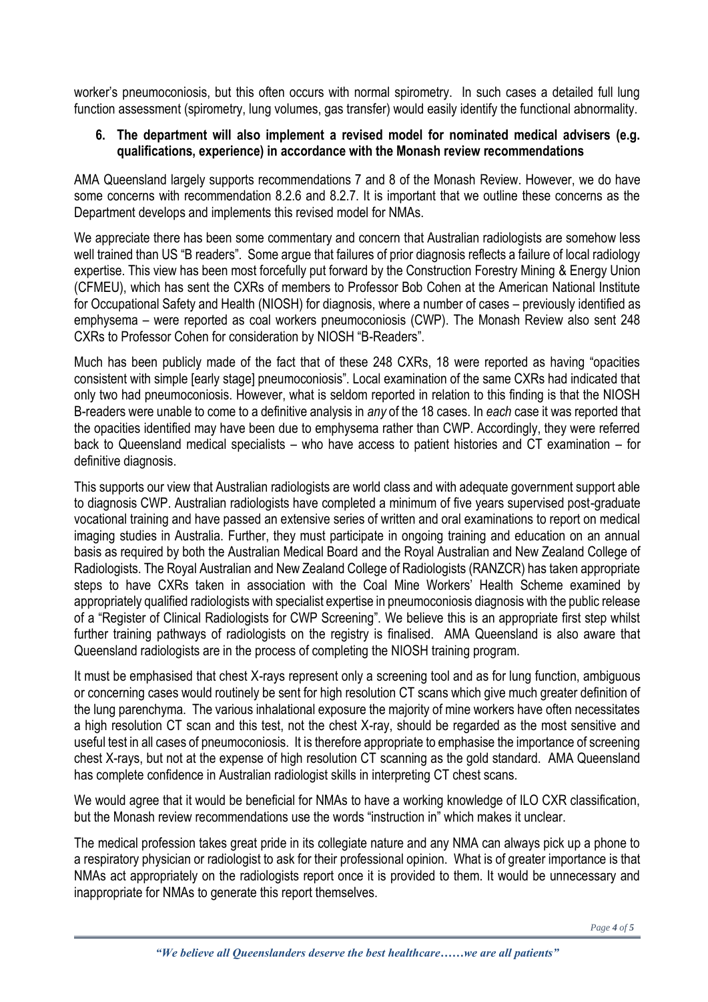worker's pneumoconiosis, but this often occurs with normal spirometry. In such cases a detailed full lung function assessment (spirometry, lung volumes, gas transfer) would easily identify the functional abnormality.

#### **6. The department will also implement a revised model for nominated medical advisers (e.g. qualifications, experience) in accordance with the Monash review recommendations**

AMA Queensland largely supports recommendations 7 and 8 of the Monash Review. However, we do have some concerns with recommendation 8.2.6 and 8.2.7. It is important that we outline these concerns as the Department develops and implements this revised model for NMAs.

We appreciate there has been some commentary and concern that Australian radiologists are somehow less well trained than US "B readers". Some argue that failures of prior diagnosis reflects a failure of local radiology expertise. This view has been most forcefully put forward by the Construction Forestry Mining & Energy Union (CFMEU), which has sent the CXRs of members to Professor Bob Cohen at the American National Institute for Occupational Safety and Health (NIOSH) for diagnosis, where a number of cases – previously identified as emphysema – were reported as coal workers pneumoconiosis (CWP). The Monash Review also sent 248 CXRs to Professor Cohen for consideration by NIOSH "B-Readers".

Much has been publicly made of the fact that of these 248 CXRs, 18 were reported as having "opacities consistent with simple [early stage] pneumoconiosis". Local examination of the same CXRs had indicated that only two had pneumoconiosis. However, what is seldom reported in relation to this finding is that the NIOSH B-readers were unable to come to a definitive analysis in *any* of the 18 cases. In *each* case it was reported that the opacities identified may have been due to emphysema rather than CWP. Accordingly, they were referred back to Queensland medical specialists – who have access to patient histories and CT examination – for definitive diagnosis.

This supports our view that Australian radiologists are world class and with adequate government support able to diagnosis CWP. Australian radiologists have completed a minimum of five years supervised post-graduate vocational training and have passed an extensive series of written and oral examinations to report on medical imaging studies in Australia. Further, they must participate in ongoing training and education on an annual basis as required by both the Australian Medical Board and the Royal Australian and New Zealand College of Radiologists. The Royal Australian and New Zealand College of Radiologists (RANZCR) has taken appropriate steps to have CXRs taken in association with the Coal Mine Workers' Health Scheme examined by appropriately qualified radiologists with specialist expertise in pneumoconiosis diagnosis with the public release of a "Register of Clinical Radiologists for CWP Screening". We believe this is an appropriate first step whilst further training pathways of radiologists on the registry is finalised. AMA Queensland is also aware that Queensland radiologists are in the process of completing the NIOSH training program.

It must be emphasised that chest X-rays represent only a screening tool and as for lung function, ambiguous or concerning cases would routinely be sent for high resolution CT scans which give much greater definition of the lung parenchyma. The various inhalational exposure the majority of mine workers have often necessitates a high resolution CT scan and this test, not the chest X-ray, should be regarded as the most sensitive and useful test in all cases of pneumoconiosis. It is therefore appropriate to emphasise the importance of screening chest X-rays, but not at the expense of high resolution CT scanning as the gold standard. AMA Queensland has complete confidence in Australian radiologist skills in interpreting CT chest scans.

We would agree that it would be beneficial for NMAs to have a working knowledge of ILO CXR classification, but the Monash review recommendations use the words "instruction in" which makes it unclear.

The medical profession takes great pride in its collegiate nature and any NMA can always pick up a phone to a respiratory physician or radiologist to ask for their professional opinion. What is of greater importance is that NMAs act appropriately on the radiologists report once it is provided to them. It would be unnecessary and inappropriate for NMAs to generate this report themselves.